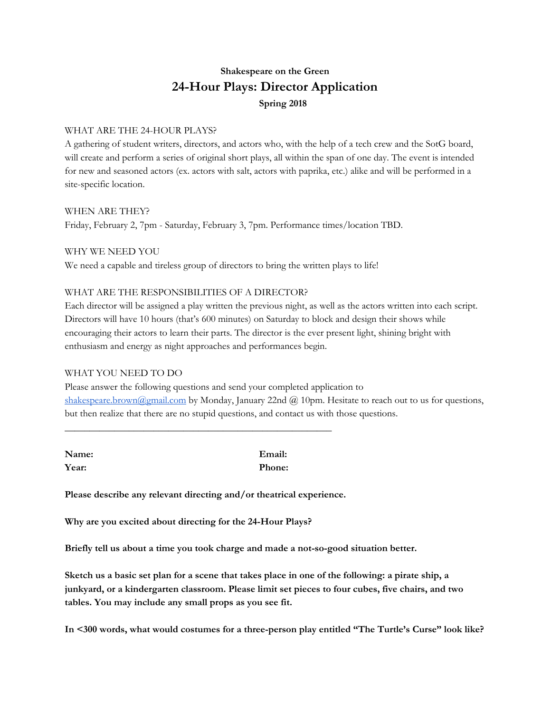## **Shakespeare on the Green 24-Hour Plays: Director Application Spring 2018**

## WHAT ARE THE 24-HOUR PLAYS?

A gathering of student writers, directors, and actors who, with the help of a tech crew and the SotG board, will create and perform a series of original short plays, all within the span of one day. The event is intended for new and seasoned actors (ex. actors with salt, actors with paprika, etc.) alike and will be performed in a site-specific location.

WHEN ARE THEY? Friday, February 2, 7pm - Saturday, February 3, 7pm. Performance times/location TBD.

WHY WE NEED YOU We need a capable and tireless group of directors to bring the written plays to life!

## WHAT ARE THE RESPONSIBILITIES OF A DIRECTOR?

Each director will be assigned a play written the previous night, as well as the actors written into each script. Directors will have 10 hours (that's 600 minutes) on Saturday to block and design their shows while encouraging their actors to learn their parts. The director is the ever present light, shining bright with enthusiasm and energy as night approaches and performances begin.

## WHAT YOU NEED TO DO

Please answer the following questions and send your completed application to [shakespeare.brown@gmail.com](mailto:shakespeare.brown@gmail.com) by Monday, January 22nd @ 10pm. Hesitate to reach out to us for questions, but then realize that there are no stupid questions, and contact us with those questions.

| Name: | Email:        |
|-------|---------------|
| Year: | <b>Phone:</b> |

\_\_\_\_\_\_\_\_\_\_\_\_\_\_\_\_\_\_\_\_\_\_\_\_\_\_\_\_\_\_\_\_\_\_\_\_\_\_\_\_\_\_\_\_\_\_\_\_\_\_\_\_\_\_

**Please describe any relevant directing and/or theatrical experience.**

**Why are you excited about directing for the 24-Hour Plays?**

**Briefly tell us about a time you took charge and made a not-so-good situation better.**

Sketch us a basic set plan for a scene that takes place in one of the following: a pirate ship, a **junkyard, or a kindergarten classroom. Please limit set pieces to four cubes, five chairs, and two tables. You may include any small props as you see fit.**

**In <300 words, what would costumes for a three-person play entitled "The Turtle's Curse" look like?**